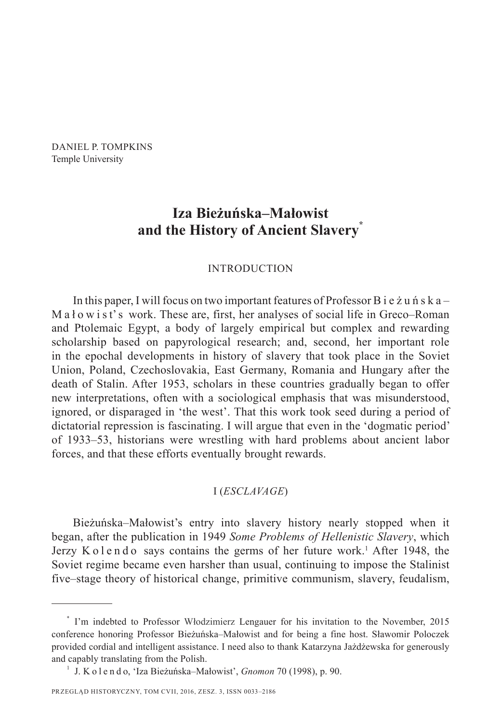DANIEL P. TOMPKINS Temple University

# **Iza Bieżuńska–Małowist and the History of Ancient Slavery\***

## INTRODUCTION

In this paper, I will focus on two important features of Professor B i e ż u ń s k a – M a ł o w i s t' s work. These are, first, her analyses of social life in Greco–Roman and Ptolemaic Egypt, a body of largely empirical but complex and rewarding scholarship based on papyrological research; and, second, her important role in the epochal developments in history of slavery that took place in the Soviet Union, Poland, Czechoslovakia, East Germany, Romania and Hungary after the death of Stalin. After 1953, scholars in these countries gradually began to offer new interpretations, often with a sociological emphasis that was misunderstood, ignored, or disparaged in 'the west'. That this work took seed during a period of dictatorial repression is fascinating. I will argue that even in the 'dogmatic period' of 1933–53, historians were wrestling with hard problems about ancient labor forces, and that these efforts eventually brought rewards.

# I (*ESCLAVAGE*)

Bieżuńska–Małowist's entry into slavery history nearly stopped when it began, after the publication in 1949 *Some Problems of Hellenistic Slavery*, which Jerzy Kolendo says contains the germs of her future work.<sup>1</sup> After 1948, the Soviet regime became even harsher than usual, continuing to impose the Stalinist five–stage theory of historical change, primitive communism, slavery, feudalism,

<sup>\*</sup> I'm indebted to Professor Włodzimierz Lengauer for his invitation to the November, 2015 conference honoring Professor Bieżuńska–Małowist and for being a fine host. Sławomir Poloczek provided cordial and intelligent assistance. I need also to thank Katarzyna Jażdżewska for generously and capably translating from the Polish. 1 J. K o l e n d o, 'Iza Bieżuńska–Małowist', *Gnomon* 70 (1998), p. 90.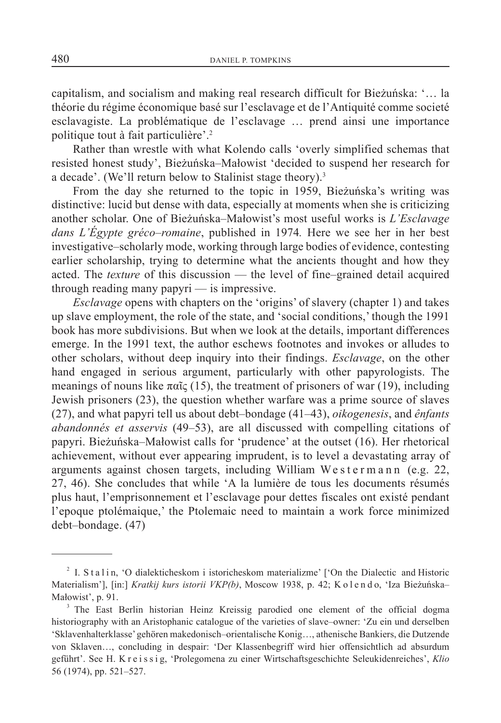capitalism, and socialism and making real research difficult for Bieżuńska: '… la théorie du régime économique basé sur l'esclavage et de l'Antiquité comme societé esclavagiste. La problématique de l'esclavage … prend ainsi une importance politique tout à fait particulière'.2

Rather than wrestle with what Kolendo calls 'overly simplified schemas that resisted honest study', Bieżuńska–Małowist 'decided to suspend her research for a decade'. (We'll return below to Stalinist stage theory).<sup>3</sup>

From the day she returned to the topic in 1959, Bieżuńska's writing was distinctive: lucid but dense with data, especially at moments when she is criticizing another scholar. One of Bieżuńska–Małowist's most useful works is *L'Esclavage dans L'Égypte gréco–romaine*, published in 1974*.* Here we see her in her best investigative–scholarly mode, working through large bodies of evidence, contesting earlier scholarship, trying to determine what the ancients thought and how they acted. The *texture* of this discussion — the level of fine–grained detail acquired through reading many papyri — is impressive.

*Esclavage* opens with chapters on the 'origins' of slavery (chapter 1) and takes up slave employment, the role of the state, and 'social conditions,' though the 1991 book has more subdivisions. But when we look at the details, important differences emerge. In the 1991 text, the author eschews footnotes and invokes or alludes to other scholars, without deep inquiry into their findings. *Esclavage*, on the other hand engaged in serious argument, particularly with other papyrologists. The meanings of nouns like  $\pi\alpha\tilde{c}$  (15), the treatment of prisoners of war (19), including Jewish prisoners (23), the question whether warfare was a prime source of slaves (27), and what papyri tell us about debt–bondage (41–43), *oikogenesis*, and *ênfants abandonnés et asservis* (49–53), are all discussed with compelling citations of papyri. Bieżuńska–Małowist calls for 'prudence' at the outset (16). Her rhetorical achievement, without ever appearing imprudent, is to level a devastating array of arguments against chosen targets, including William We s t e r m a n n (e.g. 22, 27, 46). She concludes that while 'A la lumière de tous les documents résumés plus haut, l'emprisonnement et l'esclavage pour dettes fiscales ont existé pendant l'epoque ptolémaique,' the Ptolemaic need to maintain a work force minimized debt–bondage. (47)

<sup>&</sup>lt;sup>2</sup> I. S t a l i n, 'O dialekticheskom i istoricheskom materializme' ['On the Dialectic and Historic Materialism'], [in:] *Kratkij kurs istorii VKP(b)*, Moscow 1938, p. 42; K o l e n d o, 'Iza Bieżuńska– Małowist', p. 91.<br><sup>3</sup> The East Berlin historian Heinz Kreissig parodied one element of the official dogma

historiography with an Aristophanic catalogue of the varieties of slave–owner: 'Zu ein und derselben 'Sklavenhalterklasse' gehören makedonisch–orientalische Konig…, athenische Bankiers, die Dutzende von Sklaven…, concluding in despair: 'Der Klassenbegriff wird hier offensichtlich ad absurdum geführt'. See H. K r e i s s i g, 'Prolegomena zu einer Wirtschaftsgeschichte Seleukidenreiches', *Klio* 56 (1974), pp. 521–527.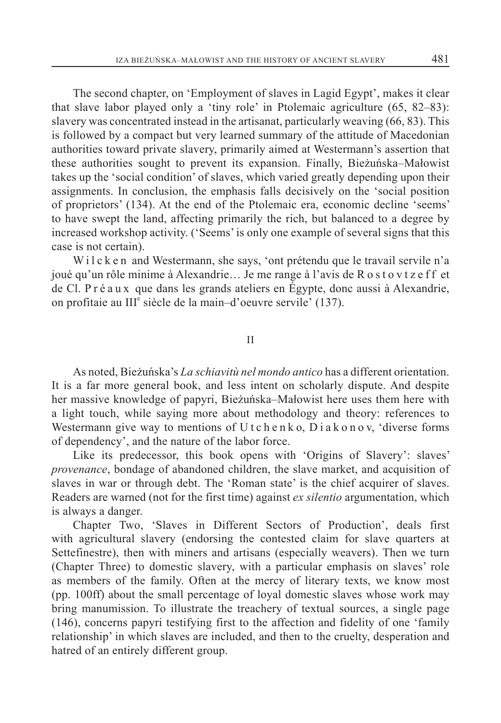The second chapter, on 'Employment of slaves in Lagid Egypt', makes it clear that slave labor played only a 'tiny role' in Ptolemaic agriculture (65, 82–83): slavery was concentrated instead in the artisanat, particularly weaving (66, 83). This is followed by a compact but very learned summary of the attitude of Macedonian authorities toward private slavery, primarily aimed at Westermann's assertion that these authorities sought to prevent its expansion. Finally, Bieżuńska–Małowist takes up the 'social condition' of slaves, which varied greatly depending upon their assignments. In conclusion, the emphasis falls decisively on the 'social position of proprietors' (134). At the end of the Ptolemaic era, economic decline 'seems' to have swept the land, affecting primarily the rich, but balanced to a degree by increased workshop activity. ('Seems' is only one example of several signs that this case is not certain).

Wilcken and Westermann, she says, 'ont prétendu que le travail servile n'a joué qu'un rôle minime à Alexandrie... Je me range à l'avis de R o s t o v t z e f f et de Cl. P r é a u x que dans les grands ateliers en Égypte, donc aussi à Alexandrie, on profitaie au III<sup>e</sup> siècle de la main-d'oeuvre servile' (137).

#### II

As noted, Bieżuńska's *La schiavitù nel mondo antico* has a different orientation. It is a far more general book, and less intent on scholarly dispute. And despite her massive knowledge of papyri, Bieżuńska–Małowist here uses them here with a light touch, while saying more about methodology and theory: references to Westermann give way to mentions of  $U$  t c h e n k o,  $D$  i a k o n o v, 'diverse forms of dependency', and the nature of the labor force.

Like its predecessor, this book opens with 'Origins of Slavery': slaves' *provenance*, bondage of abandoned children, the slave market, and acquisition of slaves in war or through debt. The 'Roman state' is the chief acquirer of slaves. Readers are warned (not for the first time) against *ex silentio* argumentation, which is always a danger.

Chapter Two, 'Slaves in Different Sectors of Production', deals first with agricultural slavery (endorsing the contested claim for slave quarters at Settefinestre), then with miners and artisans (especially weavers). Then we turn (Chapter Three) to domestic slavery, with a particular emphasis on slaves' role as members of the family. Often at the mercy of literary texts, we know most (pp. 100ff) about the small percentage of loyal domestic slaves whose work may bring manumission. To illustrate the treachery of textual sources, a single page (146), concerns papyri testifying first to the affection and fidelity of one 'family relationship' in which slaves are included, and then to the cruelty, desperation and hatred of an entirely different group.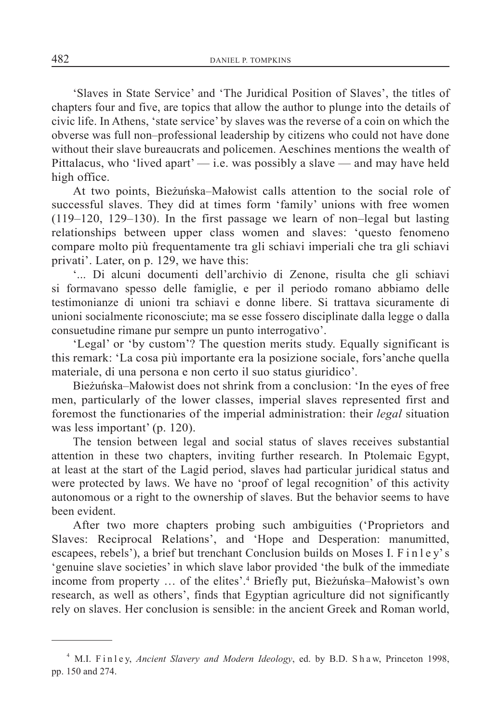'Slaves in State Service' and 'The Juridical Position of Slaves', the titles of chapters four and five, are topics that allow the author to plunge into the details of civic life. In Athens, 'state service' by slaves was the reverse of a coin on which the obverse was full non–professional leadership by citizens who could not have done without their slave bureaucrats and policemen. Aeschines mentions the wealth of Pittalacus, who 'lived apart'  $-$  i.e. was possibly a slave  $-$  and may have held high office.

At two points, Bieżuńska–Małowist calls attention to the social role of successful slaves. They did at times form 'family' unions with free women (119–120, 129–130). In the first passage we learn of non–legal but lasting relationships between upper class women and slaves: 'questo fenomeno compare molto più frequentamente tra gli schiavi imperiali che tra gli schiavi privati'. Later, on p. 129, we have this:

'... Di alcuni documenti dell'archivio di Zenone, risulta che gli schiavi si formavano spesso delle famiglie, e per il periodo romano abbiamo delle testimonianze di unioni tra schiavi e donne libere. Si trattava sicuramente di unioni socialmente riconosciute; ma se esse fossero disciplinate dalla legge o dalla consuetudine rimane pur sempre un punto interrogativo'.

'Legal' or 'by custom'? The question merits study. Equally significant is this remark: 'La cosa più importante era la posizione sociale, fors'anche quella materiale, di una persona e non certo il suo status giuridico'*.*

Bieżuńska–Małowist does not shrink from a conclusion: 'In the eyes of free men, particularly of the lower classes, imperial slaves represented first and foremost the functionaries of the imperial administration: their *legal* situation was less important' (p. 120).

The tension between legal and social status of slaves receives substantial attention in these two chapters, inviting further research. In Ptolemaic Egypt, at least at the start of the Lagid period, slaves had particular juridical status and were protected by laws. We have no 'proof of legal recognition' of this activity autonomous or a right to the ownership of slaves. But the behavior seems to have been evident.

After two more chapters probing such ambiguities ('Proprietors and Slaves: Reciprocal Relations', and 'Hope and Desperation: manumitted, escapees, rebels'), a brief but trenchant Conclusion builds on Moses I. F i n l e y' s 'genuine slave societies' in which slave labor provided 'the bulk of the immediate income from property … of the elites'.4 Briefly put, Bieżuńska–Małowist's own research, as well as others', finds that Egyptian agriculture did not significantly rely on slaves. Her conclusion is sensible: in the ancient Greek and Roman world,

<sup>&</sup>lt;sup>4</sup> M.I. Finley, Ancient Slavery and Modern Ideology, ed. by B.D. Shaw, Princeton 1998, pp. 150 and 274.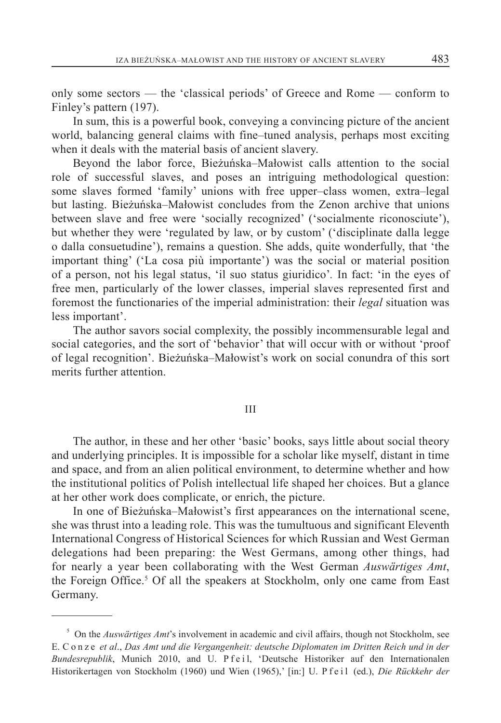only some sectors — the 'classical periods' of Greece and Rome — conform to Finley's pattern (197).

In sum, this is a powerful book, conveying a convincing picture of the ancient world, balancing general claims with fine–tuned analysis, perhaps most exciting when it deals with the material basis of ancient slavery.

Beyond the labor force, Bieżuńska–Małowist calls attention to the social role of successful slaves, and poses an intriguing methodological question: some slaves formed 'family' unions with free upper–class women, extra–legal but lasting. Bieżuńska–Małowist concludes from the Zenon archive that unions between slave and free were 'socially recognized' ('socialmente riconosciute'), but whether they were 'regulated by law, or by custom' ('disciplinate dalla legge o dalla consuetudine'), remains a question. She adds, quite wonderfully, that 'the important thing' ('La cosa più importante') was the social or material position of a person, not his legal status, 'il suo status giuridico'*.* In fact: 'in the eyes of free men, particularly of the lower classes, imperial slaves represented first and foremost the functionaries of the imperial administration: their *legal* situation was less important'.

The author savors social complexity, the possibly incommensurable legal and social categories, and the sort of 'behavior' that will occur with or without 'proof of legal recognition'. Bieżuńska–Małowist's work on social conundra of this sort merits further attention.

## III

The author, in these and her other 'basic' books, says little about social theory and underlying principles. It is impossible for a scholar like myself, distant in time and space, and from an alien political environment, to determine whether and how the institutional politics of Polish intellectual life shaped her choices. But a glance at her other work does complicate, or enrich, the picture.

In one of Bieżuńska–Małowist's first appearances on the international scene, she was thrust into a leading role. This was the tumultuous and significant Eleventh International Congress of Historical Sciences for which Russian and West German delegations had been preparing: the West Germans, among other things, had for nearly a year been collaborating with the West German *Auswärtiges Amt*, the Foreign Office.<sup>5</sup> Of all the speakers at Stockholm, only one came from East Germany.

<sup>5</sup> On the *Auswärtiges Amt*'s involvement in academic and civil affairs, though not Stockholm, see E. C o n z e *et al*., *Das Amt und die Vergangenheit: deutsche Diplomaten im Dritten Reich und in der*  Bundesrepublik, Munich 2010, and U. P f e il, 'Deutsche Historiker auf den Internationalen Historikertagen von Stockholm (1960) und Wien (1965),' [in:] U. P f e i l (ed.), *Die Rückkehr der*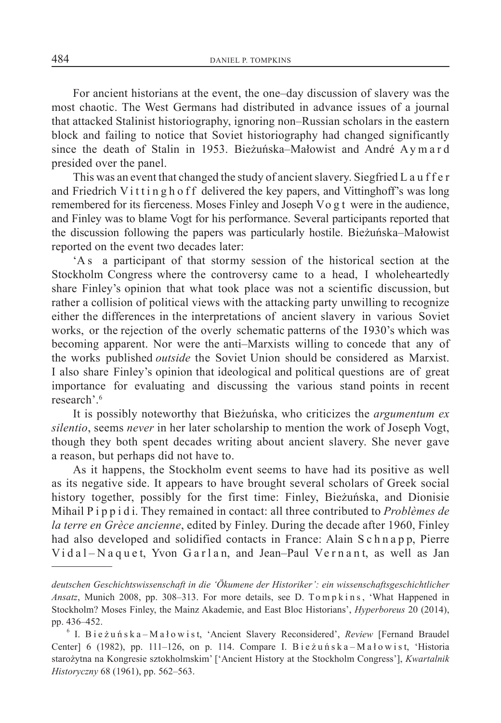For ancient historians at the event, the one–day discussion of slavery was the most chaotic. The West Germans had distributed in advance issues of a journal that attacked Stalinist historiography, ignoring non–Russian scholars in the eastern block and failing to notice that Soviet historiography had changed significantly since the death of Stalin in 1953. Bieżuńska–Małowist and André Ay m a r d presided over the panel.

This was an event that changed the study of ancient slavery. Siegfried L a u f f e r and Friedrich Vittingh of f delivered the key papers, and Vittinghoff's was long remembered for its fierceness. Moses Finley and Joseph Vo g t were in the audience, and Finley was to blame Vogt for his performance. Several participants reported that the discussion following the papers was particularly hostile. Bieżuńska–Małowist reported on the event two decades later:

'A s a participant of that stormy session of the historical section at the Stockholm Congress where the controversy came to a head, I wholeheartedly share Finley's opinion that what took place was not a scientific discussion, but rather a collision of political views with the attacking party unwilling to recognize either the differences in the interpretations of ancient slavery in various Soviet works, or the rejection of the overly schematic patterns of the 1930's which was becoming apparent. Nor were the anti–Marxists willing to concede that any of the works published *outside* the Soviet Union should be considered as Marxist. I also share Finley's opinion that ideological and political questions are of great importance for evaluating and discussing the various stand points in recent research'.6

It is possibly noteworthy that Bieżuńska, who criticizes the *argumentum ex silentio*, seems *never* in her later scholarship to mention the work of Joseph Vogt, though they both spent decades writing about ancient slavery. She never gave a reason, but perhaps did not have to.

As it happens, the Stockholm event seems to have had its positive as well as its negative side. It appears to have brought several scholars of Greek social history together, possibly for the first time: Finley, Bieżuńska, and Dionisie Mihail P i p p i d i. They remained in contact: all three contributed to *Problèmes de la terre en Grèce ancienne*, edited by Finley. During the decade after 1960, Finley had also developed and solidified contacts in France: Alain S c h n a p p, Pierre  $V$ idal-Naquet, Yvon Garlan, and Jean-Paul Vernant, as well as Jan

*deutschen Geschichtswissenschaft in die 'Ökumene der Historiker': ein wissenschaftsgeschichtlicher Ansatz*, Munich 2008, pp. 308–313. For more details, see D. To m p k in s, 'What Happened in Stockholm? Moses Finley, the Mainz Akademie, and East Bloc Historians', *Hyperboreus* 20 (2014), pp. 436–452.

<sup>&</sup>lt;sup>6</sup> I. Bie żu ń s k a – M a ł o w i s t, 'Ancient Slavery Reconsidered', *Review* [Fernand Braudel Center] 6 (1982), pp. 111–126, on p. 114. Compare I. Bieżuńska – Małowist, 'Historia starożytna na Kongresie sztokholmskim' ['Ancient History at the Stockholm Congress'], *Kwartalnik Historyczny* 68 (1961), pp. 562–563.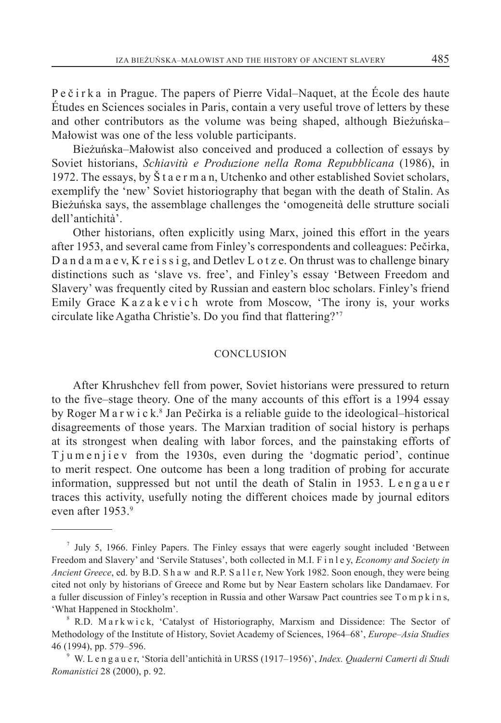P e č i r k a in Prague. The papers of Pierre Vidal–Naquet, at the École des haute Études en Sciences sociales in Paris, contain a very useful trove of letters by these and other contributors as the volume was being shaped, although Bieżuńska– Małowist was one of the less voluble participants.

Bieżuńska–Małowist also conceived and produced a collection of essays by Soviet historians, *Schiavitù e Produzione nella Roma Repubblicana* (1986), in 1972. The essays, by Š t a e r m a n, Utchenko and other established Soviet scholars, exemplify the 'new' Soviet historiography that began with the death of Stalin. As Bieżuńska says, the assemblage challenges the 'omogeneità delle strutture sociali dell'antichità'.

Other historians, often explicitly using Marx, joined this effort in the years after 1953, and several came from Finley's correspondents and colleagues: Pečirka, D a n d a m a e v, K r e i s s i g, and Detlev L o t z e. On thrust was to challenge binary distinctions such as 'slave vs. free', and Finley's essay 'Between Freedom and Slavery' was frequently cited by Russian and eastern bloc scholars. Finley's friend Emily Grace K a z a k e v i c h wrote from Moscow, 'The irony is, your works circulate like Agatha Christie's. Do you find that flattering?'7

#### CONCLUSION

After Khrushchev fell from power, Soviet historians were pressured to return to the five–stage theory. One of the many accounts of this effort is a 1994 essay by Roger M a r w i c k.<sup>8</sup> Jan Pečirka is a reliable guide to the ideological-historical disagreements of those years. The Marxian tradition of social history is perhaps at its strongest when dealing with labor forces, and the painstaking efforts of T jum e n ji e v from the 1930s, even during the 'dogmatic period', continue to merit respect. One outcome has been a long tradition of probing for accurate information, suppressed but not until the death of Stalin in 1953. Lengauer traces this activity, usefully noting the different choices made by journal editors even after 1953.9

 $7$  July 5, 1966. Finley Papers. The Finley essays that were eagerly sought included 'Between Freedom and Slavery' and 'Servile Statuses', both collected in M.I. F i n l e y, *Economy and Society in Ancient Greece*, ed. by B.D. S h a w and R.P. S a l l e r, New York 1982. Soon enough, they were being cited not only by historians of Greece and Rome but by Near Eastern scholars like Dandamaev. For a fuller discussion of Finley's reception in Russia and other Warsaw Pact countries see Tompkins, 'What Happened in Stockholm'.

<sup>&</sup>lt;sup>8</sup> R.D. Markwick, 'Catalyst of Historiography, Marxism and Dissidence: The Sector of Methodology of the Institute of History, Soviet Academy of Sciences, 1964–68', *Europe–Asia Studies* 46 (1994), pp. 579–596.

<sup>9</sup> W. L e n g a u e r, 'Storia dell'antichità in URSS (1917–1956)', *Index. Quaderni Camerti di Studi Romanistici* 28 (2000), p. 92.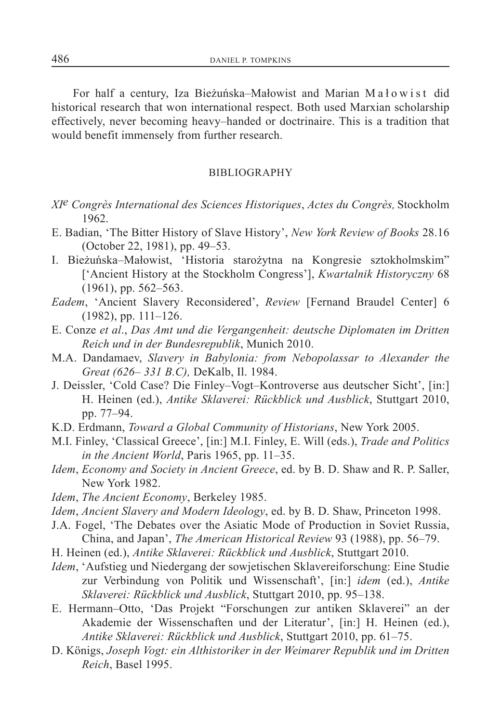For half a century, Iza Bieżuńska–Małowist and Marian M a ł o w i s t did historical research that won international respect. Both used Marxian scholarship effectively, never becoming heavy–handed or doctrinaire. This is a tradition that would benefit immensely from further research.

#### BIBLIOGRAPHY

- *XIe Congrès International des Sciences Historiques*, *Actes du Congrès,* Stockholm 1962.
- E. Badian, 'The Bitter History of Slave History', *New York Review of Books* 28.16 (October 22, 1981), pp. 49–53.
- I. Bieżuńska–Małowist, 'Historia starożytna na Kongresie sztokholmskim" ['Ancient History at the Stockholm Congress'], *Kwartalnik Historyczny* 68 (1961), pp. 562–563.
- *Eadem*, 'Ancient Slavery Reconsidered', *Review* [Fernand Braudel Center] 6 (1982), pp. 111–126.
- E. Conze *et al*., *Das Amt und die Vergangenheit: deutsche Diplomaten im Dritten Reich und in der Bundesrepublik*, Munich 2010.
- M.A. Dandamaev, *Slavery in Babylonia: from Nebopolassar to Alexander the Great (626– 331 B.C),* DeKalb, Il. 1984.
- J. Deissler, 'Cold Case? Die Finley–Vogt–Kontroverse aus deutscher Sicht', [in:] H. Heinen (ed.), *Antike Sklaverei: Rückblick und Ausblick*, Stuttgart 2010, pp. 77–94.
- K.D. Erdmann, *Toward a Global Community of Historians*, New York 2005.
- M.I. Finley, 'Classical Greece', [in:] M.I. Finley, E. Will (eds.), *Trade and Politics in the Ancient World*, Paris 1965, pp. 11–35.
- *Idem*, *Economy and Society in Ancient Greece*, ed. by B. D. Shaw and R. P. Saller, New York 1982.
- *Idem*, *The Ancient Economy*, Berkeley 1985.
- *Idem*, *Ancient Slavery and Modern Ideology*, ed. by B. D. Shaw, Princeton 1998.
- J.A. Fogel, 'The Debates over the Asiatic Mode of Production in Soviet Russia, China, and Japan', *The American Historical Review* 93 (1988), pp. 56–79.
- H. Heinen (ed.), *Antike Sklaverei: Rückblick und Ausblick*, Stuttgart 2010.
- *Idem*, 'Aufstieg und Niedergang der sowjetischen Sklavereiforschung: Eine Studie zur Verbindung von Politik und Wissenschaft', [in:] *idem* (ed.), *Antike Sklaverei: Rückblick und Ausblick*, Stuttgart 2010, pp. 95–138.
- E. Hermann–Otto, 'Das Projekt "Forschungen zur antiken Sklaverei" an der Akademie der Wissenschaften und der Literatur', [in:] H. Heinen (ed.), *Antike Sklaverei: Rückblick und Ausblick*, Stuttgart 2010, pp. 61–75.
- D. Königs, *Joseph Vogt: ein Althistoriker in der Weimarer Republik und im Dritten Reich*, Basel 1995.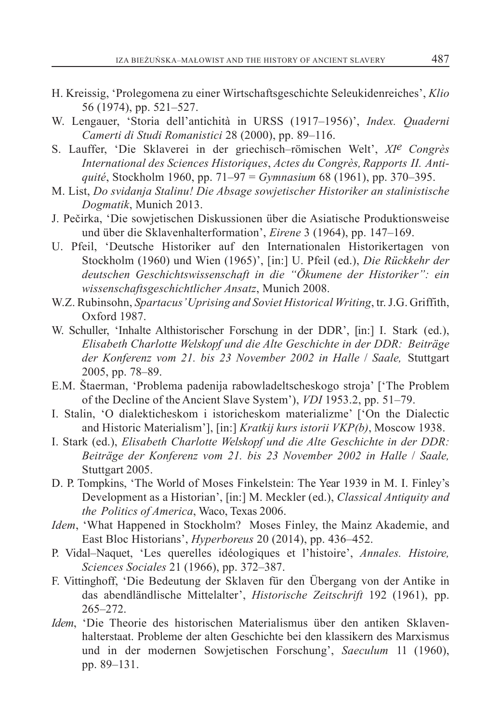- H. Kreissig, 'Prolegomena zu einer Wirtschaftsgeschichte Seleukidenreiches', *Klio* 56 (1974), pp. 521–527.
- W. Lengauer, 'Storia dell'antichità in URSS (1917–1956)', *Index. Quaderni Camerti di Studi Romanistici* 28 (2000), pp. 89–116.
- S. Lauffer, 'Die Sklaverei in der griechisch–römischen Welt', *XIe Congrès International des Sciences Historiques*, *Actes du Congrès, Rapports II. Antiquité*, Stockholm 1960, pp. 71–97 = *Gymnasium* 68 (1961), pp. 370–395.
- M. List, *Do svidanja Stalinu! Die Absage sowjetischer Historiker an stalinistische Dogmatik*, Munich 2013.
- J. Pečirka, 'Die sowjetischen Diskussionen über die Asiatische Produktionsweise und über die Sklavenhalterformation', *Eirene* 3 (1964), pp. 147–169.
- U. Pfeil, 'Deutsche Historiker auf den Internationalen Historikertagen von Stockholm (1960) und Wien (1965)', [in:] U. Pfeil (ed.), *Die Rückkehr der deutschen Geschichtswissenschaft in die "Ökumene der Historiker": ein wissenschaftsgeschichtlicher Ansatz*, Munich 2008.
- W.Z. Rubinsohn, *Spartacus' Uprising and Soviet Historical Writing*, tr. J.G. Griffith, Oxford 1987.
- W. Schuller, 'Inhalte Althistorischer Forschung in der DDR', [in:] I. Stark (ed.), *Elisabeth Charlotte Welskopf und die Alte Geschichte in der DDR: Beiträge der Konferenz vom 21. bis 23 November 2002 in Halle* / *Saale,* Stuttgart 2005, pp. 78–89.
- E.M. Štaerman, 'Problema padenija rabowladeltscheskogo stroja' ['The Problem of the Decline of the Ancient Slave System'), *VDI* 1953.2, pp. 51–79.
- I. Stalin, 'O dialekticheskom i istoricheskom materializme' ['On the Dialectic and Historic Materialism'], [in:] *Kratkij kurs istorii VKP(b)*, Moscow 1938.
- I. Stark (ed.), *Elisabeth Charlotte Welskopf und die Alte Geschichte in der DDR: Beiträge der Konferenz vom 21. bis 23 November 2002 in Halle* / *Saale,*  Stuttgart 2005.
- D. P. Tompkins, 'The World of Moses Finkelstein: The Year 1939 in M. I. Finley's Development as a Historian', [in:] M. Meckler (ed.), *Classical Antiquity and the Politics of America*, Waco, Texas 2006.
- *Idem*, 'What Happened in Stockholm? Moses Finley, the Mainz Akademie, and East Bloc Historians', *Hyperboreus* 20 (2014), pp. 436–452.
- P. Vidal–Naquet, 'Les querelles idéologiques et l'histoire', *Annales. Histoire, Sciences Sociales* 21 (1966), pp. 372–387.
- F. Vittinghoff, 'Die Bedeutung der Sklaven für den Übergang von der Antike in das abendländlische Mittelalter', *Historische Zeitschrift* 192 (1961), pp. 265–272.
- *Idem*, 'Die Theorie des historischen Materialismus über den antiken Sklavenhalterstaat. Probleme der alten Geschichte bei den klassikern des Marxismus und in der modernen Sowjetischen Forschung', *Saeculum* 11 (1960), pp. 89–131.